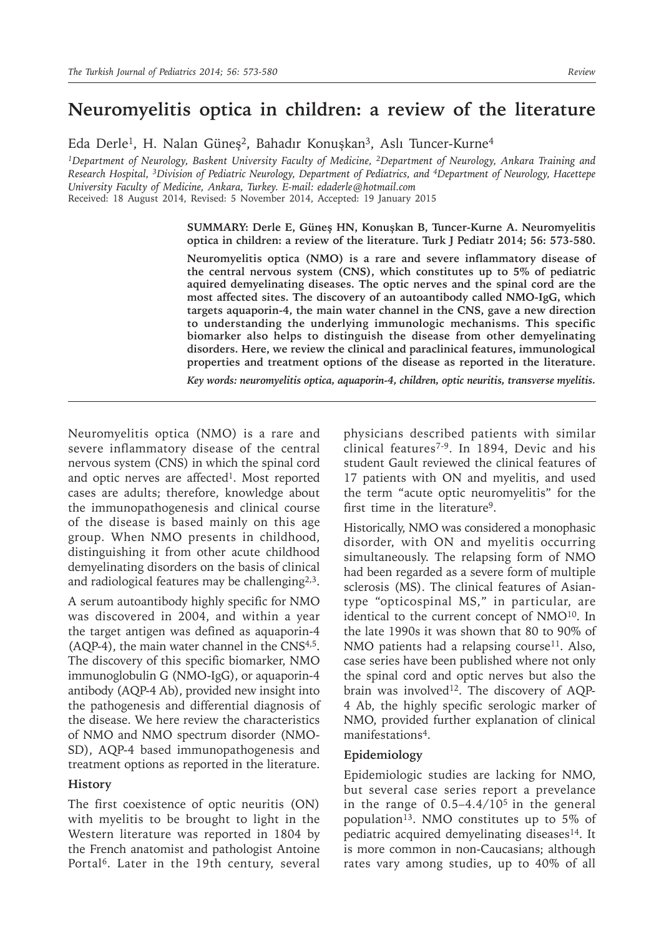# **Neuromyelitis optica in children: a review of the literature**

Eda Derle<sup>1</sup>, H. Nalan Güneş<sup>2</sup>, Bahadır Konuşkan<sup>3</sup>, Aslı Tuncer-Kurne<sup>4</sup>

*1Department of Neurology, Baskent University Faculty of Medicine, 2Department of Neurology, Ankara Training and Research Hospital, 3Division of Pediatric Neurology, Department of Pediatrics, and 4Department of Neurology, Hacettepe University Faculty of Medicine, Ankara, Turkey. E-mail: edaderle@hotmail.com* Received: 18 August 2014, Revised: 5 November 2014, Accepted: 19 January 2015

#### **SUMMARY: Derle E, Güneş HN, Konuşkan B, Tuncer-Kurne A. Neuromyelitis optica in children: a review of the literature. Turk J Pediatr 2014; 56: 573-580.**

**Neuromyelitis optica (NMO) is a rare and severe inflammatory disease of the central nervous system (CNS), which constitutes up to 5% of pediatric aquired demyelinating diseases. The optic nerves and the spinal cord are the most affected sites. The discovery of an autoantibody called NMO-IgG, which targets aquaporin-4, the main water channel in the CNS, gave a new direction to understanding the underlying immunologic mechanisms. This specific biomarker also helps to distinguish the disease from other demyelinating disorders. Here, we review the clinical and paraclinical features, immunological properties and treatment options of the disease as reported in the literature.**

*Key words: neuromyelitis optica, aquaporin-4, children, optic neuritis, transverse myelitis.*

Neuromyelitis optica (NMO) is a rare and severe inflammatory disease of the central nervous system (CNS) in which the spinal cord and optic nerves are affected<sup>1</sup>. Most reported cases are adults; therefore, knowledge about the immunopathogenesis and clinical course of the disease is based mainly on this age group. When NMO presents in childhood, distinguishing it from other acute childhood demyelinating disorders on the basis of clinical and radiological features may be challenging2,3.

A serum autoantibody highly specific for NMO was discovered in 2004, and within a year the target antigen was defined as aquaporin-4 (AQP-4), the main water channel in the CNS4,5. The discovery of this specific biomarker, NMO immunoglobulin G (NMO-IgG), or aquaporin-4 antibody (AQP-4 Ab), provided new insight into the pathogenesis and differential diagnosis of the disease. We here review the characteristics of NMO and NMO spectrum disorder (NMO-SD), AQP-4 based immunopathogenesis and treatment options as reported in the literature.

### **History**

The first coexistence of optic neuritis (ON) with myelitis to be brought to light in the Western literature was reported in 1804 by the French anatomist and pathologist Antoine Portal<sup>6</sup>. Later in the 19th century, several

physicians described patients with similar clinical features7-9. In 1894, Devic and his student Gault reviewed the clinical features of 17 patients with ON and myelitis, and used the term "acute optic neuromyelitis" for the first time in the literature<sup>9</sup>.

Historically, NMO was considered a monophasic disorder, with ON and myelitis occurring simultaneously. The relapsing form of NMO had been regarded as a severe form of multiple sclerosis (MS). The clinical features of Asiantype "opticospinal MS," in particular, are identical to the current concept of NMO<sup>10</sup>. In the late 1990s it was shown that 80 to 90% of NMO patients had a relapsing course<sup>11</sup>. Also, case series have been published where not only the spinal cord and optic nerves but also the brain was involved<sup>12</sup>. The discovery of AQP-4 Ab, the highly specific serologic marker of NMO, provided further explanation of clinical manifestations4.

### **Epidemiology**

Epidemiologic studies are lacking for NMO, but several case series report a prevelance in the range of  $0.5-4.4/10^5$  in the general population<sup>13</sup>. NMO constitutes up to 5% of pediatric acquired demyelinating diseases<sup>14</sup>. It is more common in non-Caucasians; although rates vary among studies, up to 40% of all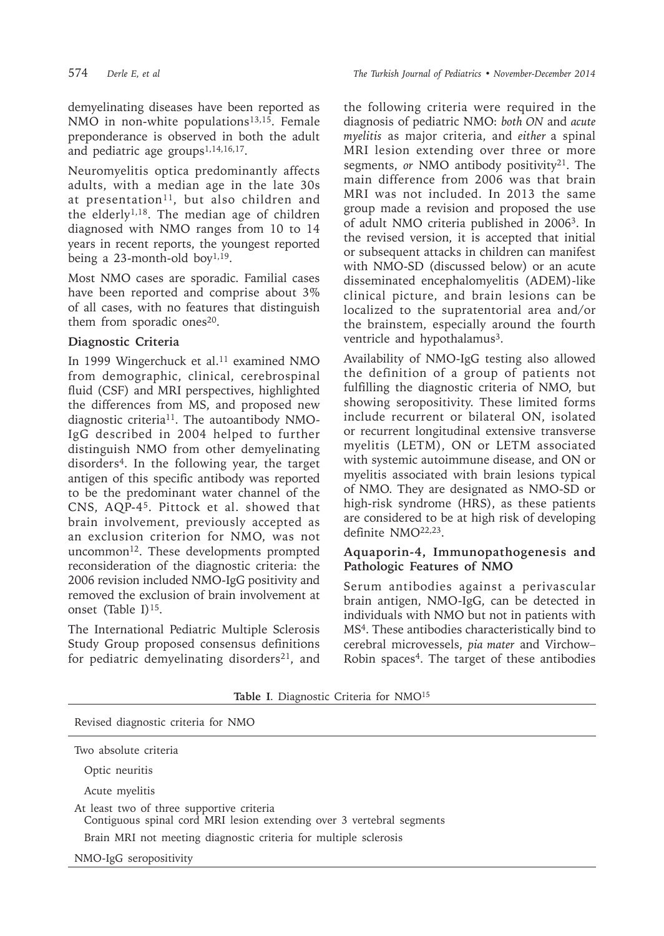demyelinating diseases have been reported as NMO in non-white populations<sup>13,15</sup>. Female preponderance is observed in both the adult and pediatric age groups<sup>1,14,16,17</sup>.

Neuromyelitis optica predominantly affects adults, with a median age in the late 30s at presentation<sup>11</sup>, but also children and the elderly<sup>1,18</sup>. The median age of children diagnosed with NMO ranges from 10 to 14 years in recent reports, the youngest reported being a 23-month-old boy<sup>1,19</sup>.

Most NMO cases are sporadic. Familial cases have been reported and comprise about 3% of all cases, with no features that distinguish them from sporadic ones<sup>20</sup>.

# **Diagnostic Criteria**

In 1999 Wingerchuck et al. $11$  examined NMO from demographic, clinical, cerebrospinal fluid (CSF) and MRI perspectives, highlighted the differences from MS, and proposed new diagnostic criteria<sup>11</sup>. The autoantibody NMO-IgG described in 2004 helped to further distinguish NMO from other demyelinating disorders<sup>4</sup>. In the following year, the target antigen of this specific antibody was reported to be the predominant water channel of the CNS, AQP-45. Pittock et al. showed that brain involvement, previously accepted as an exclusion criterion for NMO, was not uncommon<sup>12</sup>. These developments prompted reconsideration of the diagnostic criteria: the 2006 revision included NMO-IgG positivity and removed the exclusion of brain involvement at onset (Table I) $15$ .

The International Pediatric Multiple Sclerosis Study Group proposed consensus definitions for pediatric demyelinating disorders<sup>21</sup>, and

574 *Derle E, et al The Turkish Journal of Pediatrics • November-December 2014*

the following criteria were required in the diagnosis of pediatric NMO: *both ON* and *acute myelitis* as major criteria, and *either* a spinal MRI lesion extending over three or more segments, *or* NMO antibody positivity<sup>21</sup>. The main difference from 2006 was that brain MRI was not included. In 2013 the same group made a revision and proposed the use of adult NMO criteria published in 2006<sup>3</sup>. In the revised version, it is accepted that initial or subsequent attacks in children can manifest with NMO-SD (discussed below) or an acute disseminated encephalomyelitis (ADEM)-like clinical picture, and brain lesions can be localized to the supratentorial area and/or the brainstem, especially around the fourth ventricle and hypothalamus<sup>3</sup>.

Availability of NMO-IgG testing also allowed the definition of a group of patients not fulfilling the diagnostic criteria of NMO, but showing seropositivity. These limited forms include recurrent or bilateral ON, isolated or recurrent longitudinal extensive transverse myelitis (LETM), ON or LETM associated with systemic autoimmune disease, and ON or myelitis associated with brain lesions typical of NMO. They are designated as NMO-SD or high-risk syndrome (HRS), as these patients are considered to be at high risk of developing definite NMO22,23.

# **Aquaporin-4, Immunopathogenesis and Pathologic Features of NMO**

Serum antibodies against a perivascular brain antigen, NMO-IgG, can be detected in individuals with NMO but not in patients with MS<sup>4</sup>. These antibodies characteristically bind to cerebral microvessels, *pia mater* and Virchow– Robin spaces<sup>4</sup>. The target of these antibodies

| Revised diagnostic criteria for NMO                                                                                |
|--------------------------------------------------------------------------------------------------------------------|
| Two absolute criteria                                                                                              |
| Optic neuritis                                                                                                     |
| Acute myelitis                                                                                                     |
| At least two of three supportive criteria<br>Contiguous spinal cord MRI lesion extending over 3 vertebral segments |
| Brain MRI not meeting diagnostic criteria for multiple sclerosis                                                   |
| NMO-IgG seropositivity                                                                                             |

**Table I**. Diagnostic Criteria for NMO15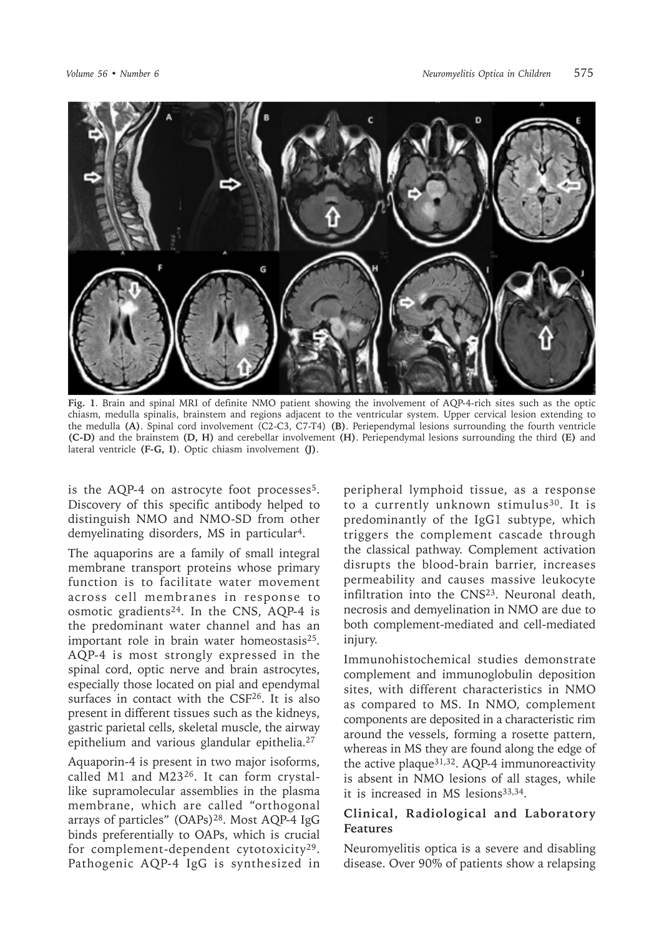

**Fig. 1**. Brain and spinal MRI of definite NMO patient showing the involvement of AQP-4-rich sites such as the optic chiasm, medulla spinalis, brainstem and regions adjacent to the ventricular system. Upper cervical lesion extending to the medulla **(A)**. Spinal cord involvement (C2-C3, C7-T4) **(B)**. Periependymal lesions surrounding the fourth ventricle **(C-D)** and the brainstem **(D, H)** and cerebellar involvement **(H)**. Periependymal lesions surrounding the third **(E)** and lateral ventricle **(F-G, I)**. Optic chiasm involvement **(J)**.

is the AQP-4 on astrocyte foot processes<sup>5</sup>. Discovery of this specific antibody helped to distinguish NMO and NMO-SD from other demyelinating disorders, MS in particular4.

The aquaporins are a family of small integral membrane transport proteins whose primary function is to facilitate water movement across cell membranes in response to osmotic gradients<sup>24</sup>. In the CNS, AQP-4 is the predominant water channel and has an important role in brain water homeostasis<sup>25</sup>. AQP-4 is most strongly expressed in the spinal cord, optic nerve and brain astrocytes, especially those located on pial and ependymal surfaces in contact with the CSF<sup>26</sup>. It is also present in different tissues such as the kidneys, gastric parietal cells, skeletal muscle, the airway epithelium and various glandular epithelia.<sup>27</sup>

Aquaporin-4 is present in two major isoforms, called M1 and M2326. It can form crystallike supramolecular assemblies in the plasma membrane, which are called "orthogonal arrays of particles" (OAPs)28. Most AQP-4 IgG binds preferentially to OAPs, which is crucial for complement-dependent cytotoxicity29. Pathogenic AQP-4 IgG is synthesized in

peripheral lymphoid tissue, as a response to a currently unknown stimulus<sup>30</sup>. It is predominantly of the IgG1 subtype, which triggers the complement cascade through the classical pathway. Complement activation disrupts the blood-brain barrier, increases permeability and causes massive leukocyte infiltration into the CNS23. Neuronal death, necrosis and demyelination in NMO are due to both complement-mediated and cell-mediated injury.

Immunohistochemical studies demonstrate complement and immunoglobulin deposition sites, with different characteristics in NMO as compared to MS. In NMO, complement components are deposited in a characteristic rim around the vessels, forming a rosette pattern, whereas in MS they are found along the edge of the active plaque31,32. AQP-4 immunoreactivity is absent in NMO lesions of all stages, while it is increased in MS lesions<sup>33,34</sup>.

## **Clinical, Radiological and Laboratory Features**

Neuromyelitis optica is a severe and disabling disease. Over 90% of patients show a relapsing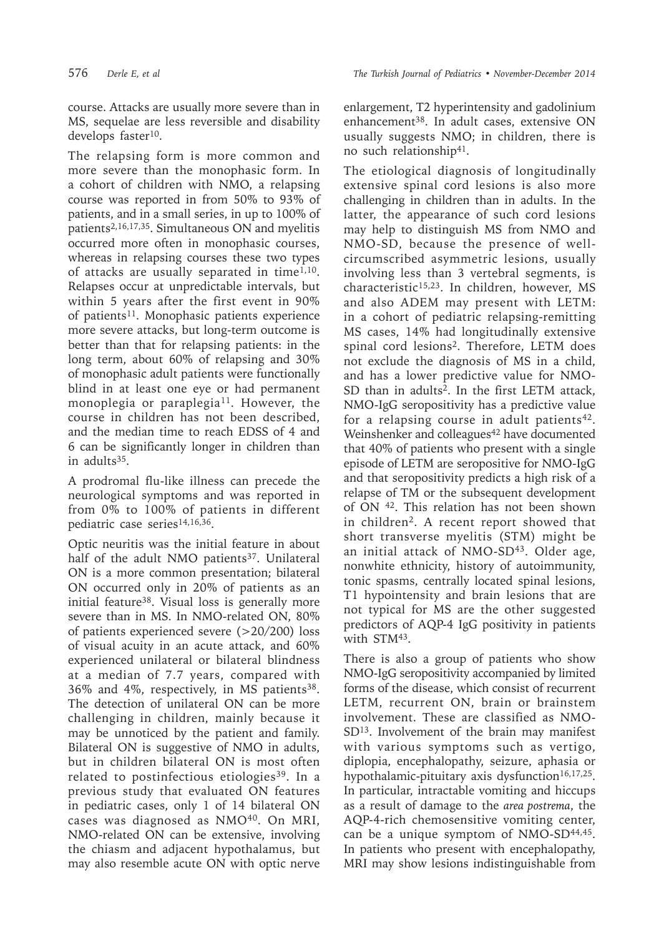course. Attacks are usually more severe than in MS, sequelae are less reversible and disability develops faster<sup>10</sup>.

The relapsing form is more common and more severe than the monophasic form. In a cohort of children with NMO, a relapsing course was reported in from 50% to 93% of patients, and in a small series, in up to 100% of patients2,16,17,35. Simultaneous ON and myelitis occurred more often in monophasic courses, whereas in relapsing courses these two types of attacks are usually separated in time<sup>1,10</sup>. Relapses occur at unpredictable intervals, but within 5 years after the first event in 90% of patients<sup>11</sup>. Monophasic patients experience more severe attacks, but long-term outcome is better than that for relapsing patients: in the long term, about 60% of relapsing and 30% of monophasic adult patients were functionally blind in at least one eye or had permanent monoplegia or paraplegia<sup>11</sup>. However, the course in children has not been described, and the median time to reach EDSS of 4 and 6 can be significantly longer in children than in adults<sup>35</sup>.

A prodromal flu-like illness can precede the neurological symptoms and was reported in from 0% to 100% of patients in different pediatric case series<sup>14,16,36</sup>.

Optic neuritis was the initial feature in about half of the adult NMO patients<sup>37</sup>. Unilateral ON is a more common presentation; bilateral ON occurred only in 20% of patients as an initial feature<sup>38</sup>. Visual loss is generally more severe than in MS. In NMO-related ON, 80% of patients experienced severe (>20/200) loss of visual acuity in an acute attack, and 60% experienced unilateral or bilateral blindness at a median of 7.7 years, compared with 36% and 4%, respectively, in MS patients38. The detection of unilateral ON can be more challenging in children, mainly because it may be unnoticed by the patient and family. Bilateral ON is suggestive of NMO in adults, but in children bilateral ON is most often related to postinfectious etiologies<sup>39</sup>. In a previous study that evaluated ON features in pediatric cases, only 1 of 14 bilateral ON cases was diagnosed as NMO<sup>40</sup>. On MRI, NMO-related ON can be extensive, involving the chiasm and adjacent hypothalamus, but may also resemble acute ON with optic nerve

enlargement, T2 hyperintensity and gadolinium enhancement<sup>38</sup>. In adult cases, extensive ON usually suggests NMO; in children, there is no such relationship41.

The etiological diagnosis of longitudinally extensive spinal cord lesions is also more challenging in children than in adults. In the latter, the appearance of such cord lesions may help to distinguish MS from NMO and NMO-SD, because the presence of wellcircumscribed asymmetric lesions, usually involving less than 3 vertebral segments, is characteristic<sup>15,23</sup>. In children, however, MS and also ADEM may present with LETM: in a cohort of pediatric relapsing-remitting MS cases, 14% had longitudinally extensive spinal cord lesions2. Therefore, LETM does not exclude the diagnosis of MS in a child, and has a lower predictive value for NMO-SD than in adults<sup>2</sup>. In the first LETM attack, NMO-IgG seropositivity has a predictive value for a relapsing course in adult patients<sup>42</sup>. Weinshenker and colleagues<sup>42</sup> have documented that 40% of patients who present with a single episode of LETM are seropositive for NMO-IgG and that seropositivity predicts a high risk of a relapse of TM or the subsequent development of ON 42. This relation has not been shown in children<sup>2</sup>. A recent report showed that short transverse myelitis (STM) might be an initial attack of NMO-SD<sup>43</sup>. Older age, nonwhite ethnicity, history of autoimmunity, tonic spasms, centrally located spinal lesions, T1 hypointensity and brain lesions that are not typical for MS are the other suggested predictors of AQP-4 IgG positivity in patients with STM<sup>43</sup>.

There is also a group of patients who show NMO-IgG seropositivity accompanied by limited forms of the disease, which consist of recurrent LETM, recurrent ON, brain or brainstem involvement. These are classified as NMO-SD<sup>13</sup>. Involvement of the brain may manifest with various symptoms such as vertigo, diplopia, encephalopathy, seizure, aphasia or hypothalamic-pituitary axis dysfunction<sup>16,17,25</sup>. In particular, intractable vomiting and hiccups as a result of damage to the *area postrema*, the AQP-4-rich chemosensitive vomiting center, can be a unique symptom of NMO-SD<sup>44,45</sup>. In patients who present with encephalopathy, MRI may show lesions indistinguishable from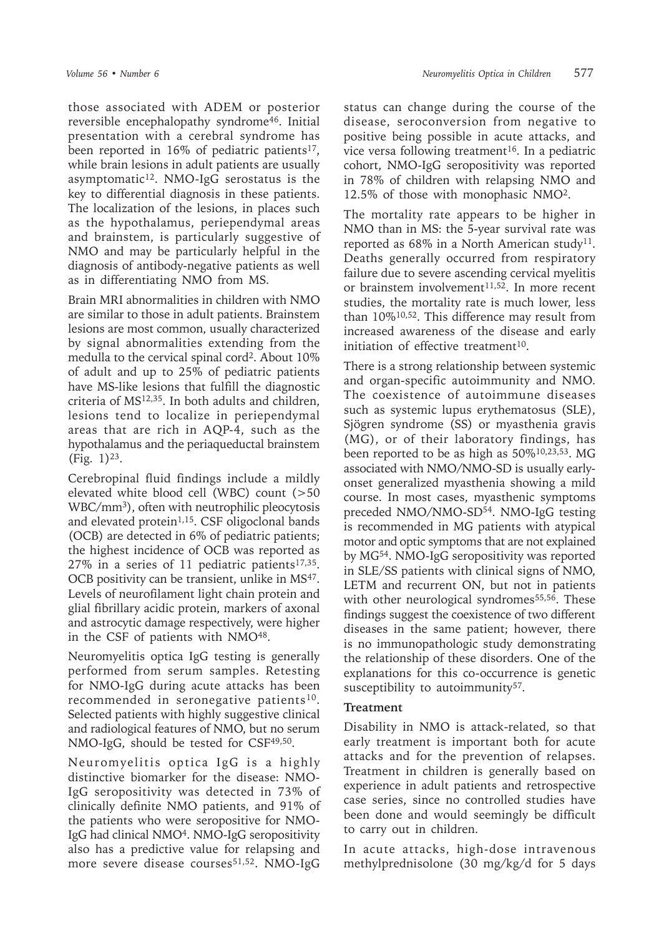those associated with ADEM or posterior reversible encephalopathy syndrome<sup>46</sup>. Initial presentation with a cerebral syndrome has been reported in 16% of pediatric patients<sup>17</sup>, while brain lesions in adult patients are usually asymptomatic<sup>12</sup>. NMO-IgG serostatus is the key to differential diagnosis in these patients. The localization of the lesions, in places such as the hypothalamus, periependymal areas and brainstem, is particularly suggestive of NMO and may be particularly helpful in the diagnosis of antibody-negative patients as well as in differentiating NMO from MS.

Brain MRI abnormalities in children with NMO are similar to those in adult patients. Brainstem lesions are most common, usually characterized by signal abnormalities extending from the medulla to the cervical spinal cord2. About 10% of adult and up to 25% of pediatric patients have MS-like lesions that fulfill the diagnostic criteria of  $MS<sup>12,35</sup>$ . In both adults and children, lesions tend to localize in periependymal areas that are rich in AQP-4, such as the hypothalamus and the periaqueductal brainstem (Fig. 1)23.

Cerebropinal fluid findings include a mildly elevated white blood cell (WBC) count (>50 WBC/mm<sup>3</sup>), often with neutrophilic pleocytosis and elevated protein $1,15$ . CSF oligoclonal bands (OCB) are detected in 6% of pediatric patients; the highest incidence of OCB was reported as  $27\%$  in a series of 11 pediatric patients<sup>17,35</sup>. OCB positivity can be transient, unlike in MS<sup>47</sup>. Levels of neurofilament light chain protein and glial fibrillary acidic protein, markers of axonal and astrocytic damage respectively, were higher in the CSF of patients with NMO<sup>48</sup>.

Neuromyelitis optica IgG testing is generally performed from serum samples. Retesting for NMO-IgG during acute attacks has been recommended in seronegative patients<sup>10</sup>. Selected patients with highly suggestive clinical and radiological features of NMO, but no serum NMO-IgG, should be tested for CSF<sup>49,50</sup>.

Neuromyelitis optica IgG is a highly distinctive biomarker for the disease: NMO-IgG seropositivity was detected in 73% of clinically definite NMO patients, and 91% of the patients who were seropositive for NMO-IgG had clinical NMO<sup>4</sup>. NMO-IgG seropositivity also has a predictive value for relapsing and more severe disease courses<sup>51,52</sup>. NMO-IgG

status can change during the course of the disease, seroconversion from negative to positive being possible in acute attacks, and vice versa following treatment<sup>16</sup>. In a pediatric cohort, NMO-IgG seropositivity was reported in 78% of children with relapsing NMO and 12.5% of those with monophasic NMO2.

The mortality rate appears to be higher in NMO than in MS: the 5-year survival rate was reported as  $68\%$  in a North American study<sup>11</sup>. Deaths generally occurred from respiratory failure due to severe ascending cervical myelitis or brainstem involvement $11,52$ . In more recent studies, the mortality rate is much lower, less than 10%10,52. This difference may result from increased awareness of the disease and early initiation of effective treatment $10$ .

There is a strong relationship between systemic and organ-specific autoimmunity and NMO. The coexistence of autoimmune diseases such as systemic lupus erythematosus (SLE), Sjögren syndrome (SS) or myasthenia gravis (MG), or of their laboratory findings, has been reported to be as high as 50%10,23,53. MG associated with NMO/NMO-SD is usually earlyonset generalized myasthenia showing a mild course. In most cases, myasthenic symptoms preceded NMO/NMO-SD<sup>54</sup>. NMO-IgG testing is recommended in MG patients with atypical motor and optic symptoms that are not explained by MG54. NMO-IgG seropositivity was reported in SLE/SS patients with clinical signs of NMO, LETM and recurrent ON, but not in patients with other neurological syndromes<sup>55,56</sup>. These findings suggest the coexistence of two different diseases in the same patient; however, there is no immunopathologic study demonstrating the relationship of these disorders. One of the explanations for this co-occurrence is genetic susceptibility to autoimmunity<sup>57</sup>.

### **Treatment**

Disability in NMO is attack-related, so that early treatment is important both for acute attacks and for the prevention of relapses. Treatment in children is generally based on experience in adult patients and retrospective case series, since no controlled studies have been done and would seemingly be difficult to carry out in children.

In acute attacks, high-dose intravenous methylprednisolone (30 mg/kg/d for 5 days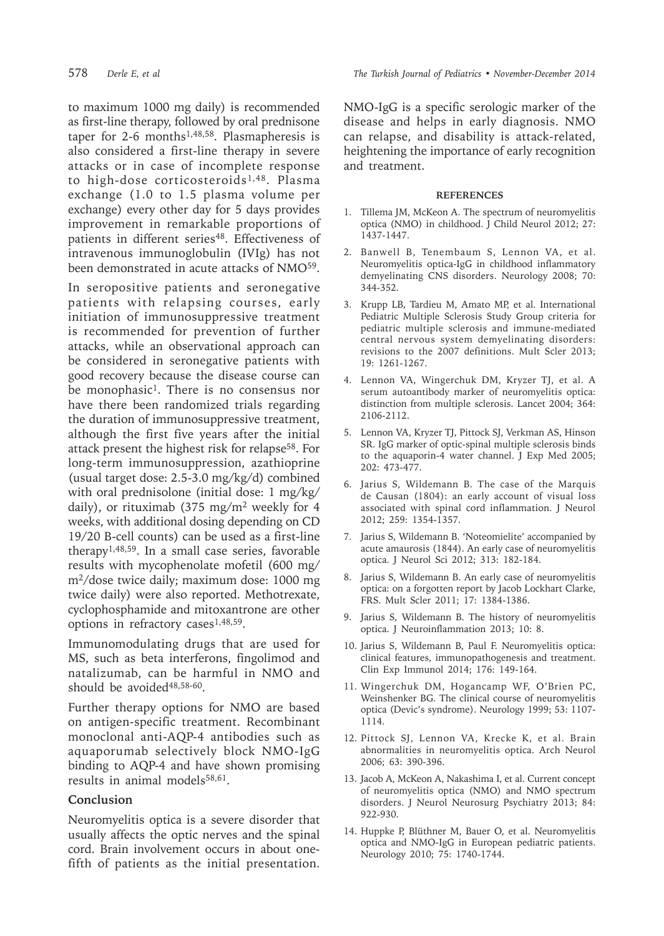to maximum 1000 mg daily) is recommended as first-line therapy, followed by oral prednisone taper for 2-6 months1,48,58. Plasmapheresis is also considered a first-line therapy in severe attacks or in case of incomplete response to high-dose corticosteroids<sup>1,48</sup>. Plasma exchange (1.0 to 1.5 plasma volume per exchange) every other day for 5 days provides improvement in remarkable proportions of patients in different series<sup>48</sup>. Effectiveness of intravenous immunoglobulin (IVIg) has not been demonstrated in acute attacks of NMO<sup>59</sup>.

In seropositive patients and seronegative patients with relapsing courses, early initiation of immunosuppressive treatment is recommended for prevention of further attacks, while an observational approach can be considered in seronegative patients with good recovery because the disease course can be monophasic<sup>1</sup>. There is no consensus nor have there been randomized trials regarding the duration of immunosuppressive treatment, although the first five years after the initial attack present the highest risk for relapse<sup>58</sup>. For long-term immunosuppression, azathioprine (usual target dose: 2.5-3.0 mg/kg/d) combined with oral prednisolone (initial dose: 1 mg/kg/ daily), or rituximab (375 mg/m<sup>2</sup> weekly for 4 weeks, with additional dosing depending on CD 19/20 B-cell counts) can be used as a first-line therapy<sup>1,48,59</sup>. In a small case series, favorable results with mycophenolate mofetil (600 mg/ m2/dose twice daily; maximum dose: 1000 mg twice daily) were also reported. Methotrexate, cyclophosphamide and mitoxantrone are other options in refractory cases<sup>1,48,59</sup>.

Immunomodulating drugs that are used for MS, such as beta interferons, fingolimod and natalizumab, can be harmful in NMO and should be avoided<sup>48,58-60</sup>.

Further therapy options for NMO are based on antigen-specific treatment. Recombinant monoclonal anti-AQP-4 antibodies such as aquaporumab selectively block NMO-IgG binding to AQP-4 and have shown promising results in animal models<sup>58,61</sup>.

#### **Conclusion**

Neuromyelitis optica is a severe disorder that usually affects the optic nerves and the spinal cord. Brain involvement occurs in about onefifth of patients as the initial presentation.

NMO-IgG is a specific serologic marker of the disease and helps in early diagnosis. NMO can relapse, and disability is attack-related, heightening the importance of early recognition and treatment.

#### **REFERENCES**

- 1. Tillema JM, McKeon A. The spectrum of neuromyelitis optica (NMO) in childhood. I Child Neurol 2012: 27: 1437-1447.
- 2. Banwell B, Tenembaum S, Lennon VA, et al. Neuromyelitis optica-IgG in childhood inflammatory demyelinating CNS disorders. Neurology 2008; 70: 344-352.
- 3. Krupp LB, Tardieu M, Amato MP, et al. International Pediatric Multiple Sclerosis Study Group criteria for pediatric multiple sclerosis and immune-mediated central nervous system demyelinating disorders: revisions to the 2007 definitions. Mult Scler 2013; 19: 1261-1267.
- 4. Lennon VA, Wingerchuk DM, Kryzer TJ, et al. A serum autoantibody marker of neuromyelitis optica: distinction from multiple sclerosis. Lancet 2004; 364: 2106-2112.
- 5. Lennon VA, Kryzer TJ, Pittock SJ, Verkman AS, Hinson SR. IgG marker of optic-spinal multiple sclerosis binds to the aquaporin-4 water channel. J Exp Med 2005; 202: 473-477.
- 6. Jarius S, Wildemann B. The case of the Marquis de Causan (1804): an early account of visual loss associated with spinal cord inflammation. J Neurol 2012; 259: 1354-1357.
- 7. Jarius S, Wildemann B. 'Noteomielite' accompanied by acute amaurosis (1844). An early case of neuromyelitis optica. J Neurol Sci 2012; 313: 182-184.
- 8. Jarius S, Wildemann B. An early case of neuromyelitis optica: on a forgotten report by Jacob Lockhart Clarke, FRS. Mult Scler 2011; 17: 1384-1386.
- 9. Jarius S, Wildemann B. The history of neuromyelitis optica. J Neuroinflammation 2013; 10: 8.
- 10. Jarius S, Wildemann B, Paul F. Neuromyelitis optica: clinical features, immunopathogenesis and treatment. Clin Exp Immunol 2014; 176: 149-164.
- 11. Wingerchuk DM, Hogancamp WF, O'Brien PC, Weinshenker BG. The clinical course of neuromyelitis optica (Devic's syndrome). Neurology 1999; 53: 1107- 1114.
- 12. Pittock SJ, Lennon VA, Krecke K, et al. Brain abnormalities in neuromyelitis optica. Arch Neurol 2006; 63: 390-396.
- 13. Jacob A, McKeon A, Nakashima I, et al. Current concept of neuromyelitis optica (NMO) and NMO spectrum disorders. J Neurol Neurosurg Psychiatry 2013; 84: 922-930.
- 14. Huppke P, Blüthner M, Bauer O, et al. Neuromyelitis optica and NMO-IgG in European pediatric patients. Neurology 2010; 75: 1740-1744.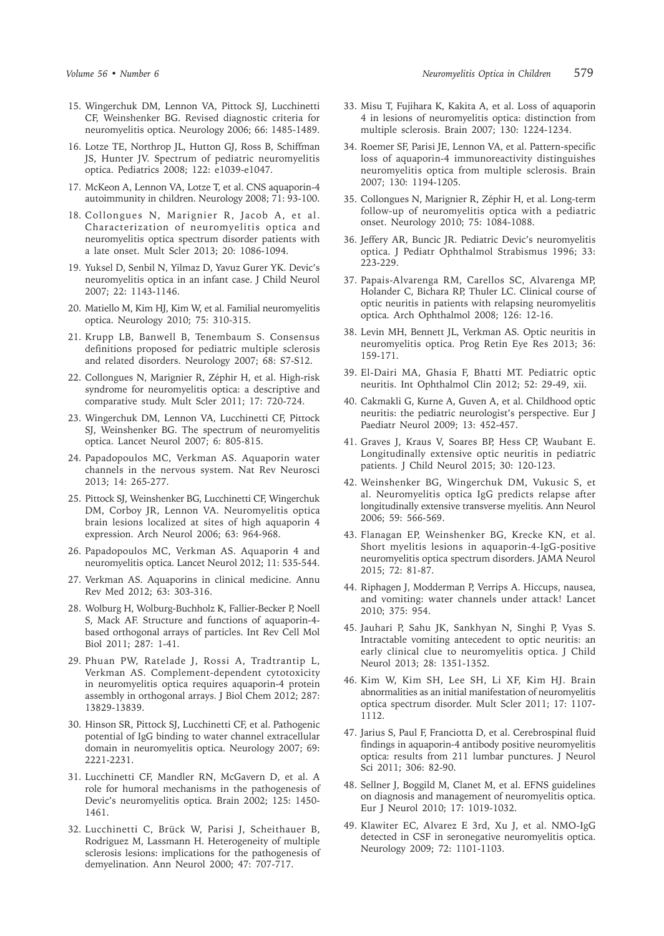- 15. Wingerchuk DM, Lennon VA, Pittock SJ, Lucchinetti CF, Weinshenker BG. Revised diagnostic criteria for neuromyelitis optica. Neurology 2006; 66: 1485-1489.
- 16. Lotze TE, Northrop JL, Hutton GJ, Ross B, Schiffman JS, Hunter JV. Spectrum of pediatric neuromyelitis optica. Pediatrics 2008; 122: e1039-e1047.
- 17. McKeon A, Lennon VA, Lotze T, et al. CNS aquaporin-4 autoimmunity in children. Neurology 2008; 71: 93-100.
- 18. Collongues N, Marignier R, Jacob A, et al. Characterization of neuromyelitis optica and neuromyelitis optica spectrum disorder patients with a late onset. Mult Scler 2013; 20: 1086-1094.
- 19. Yuksel D, Senbil N, Yilmaz D, Yavuz Gurer YK. Devic's neuromyelitis optica in an infant case. J Child Neurol 2007; 22: 1143-1146.
- 20. Matiello M, Kim HJ, Kim W, et al. Familial neuromyelitis optica. Neurology 2010; 75: 310-315.
- 21. Krupp LB, Banwell B, Tenembaum S. Consensus definitions proposed for pediatric multiple sclerosis and related disorders. Neurology 2007; 68: S7-S12.
- 22. Collongues N, Marignier R, Zéphir H, et al. High-risk syndrome for neuromyelitis optica: a descriptive and comparative study. Mult Scler 2011; 17: 720-724.
- 23. Wingerchuk DM, Lennon VA, Lucchinetti CF, Pittock SJ, Weinshenker BG. The spectrum of neuromyelitis optica. Lancet Neurol 2007; 6: 805-815.
- 24. Papadopoulos MC, Verkman AS. Aquaporin water channels in the nervous system. Nat Rev Neurosci 2013; 14: 265-277.
- 25. Pittock SJ, Weinshenker BG, Lucchinetti CF, Wingerchuk DM, Corboy JR, Lennon VA. Neuromyelitis optica brain lesions localized at sites of high aquaporin 4 expression. Arch Neurol 2006; 63: 964-968.
- 26. Papadopoulos MC, Verkman AS. Aquaporin 4 and neuromyelitis optica. Lancet Neurol 2012; 11: 535-544.
- 27. Verkman AS. Aquaporins in clinical medicine. Annu Rev Med 2012; 63: 303-316.
- 28. Wolburg H, Wolburg-Buchholz K, Fallier-Becker P, Noell S, Mack AF. Structure and functions of aquaporin-4 based orthogonal arrays of particles. Int Rev Cell Mol Biol 2011; 287: 1-41.
- 29. Phuan PW, Ratelade J, Rossi A, Tradtrantip L, Verkman AS. Complement-dependent cytotoxicity in neuromyelitis optica requires aquaporin-4 protein assembly in orthogonal arrays. J Biol Chem 2012; 287: 13829-13839.
- 30. Hinson SR, Pittock SJ, Lucchinetti CF, et al. Pathogenic potential of IgG binding to water channel extracellular domain in neuromyelitis optica. Neurology 2007; 69: 2221-2231.
- 31. Lucchinetti CF, Mandler RN, McGavern D, et al. A role for humoral mechanisms in the pathogenesis of Devic's neuromyelitis optica. Brain 2002; 125: 1450- 1461.
- 32. Lucchinetti C, Brück W, Parisi J, Scheithauer B, Rodriguez M, Lassmann H. Heterogeneity of multiple sclerosis lesions: implications for the pathogenesis of demyelination. Ann Neurol 2000; 47: 707-717.
- 33. Misu T, Fujihara K, Kakita A, et al. Loss of aquaporin 4 in lesions of neuromyelitis optica: distinction from multiple sclerosis. Brain 2007; 130: 1224-1234.
- 34. Roemer SF, Parisi JE, Lennon VA, et al. Pattern-specific loss of aquaporin-4 immunoreactivity distinguishes neuromyelitis optica from multiple sclerosis. Brain 2007; 130: 1194-1205.
- 35. Collongues N, Marignier R, Zéphir H, et al. Long-term follow-up of neuromyelitis optica with a pediatric onset. Neurology 2010; 75: 1084-1088.
- 36. Jeffery AR, Buncic JR. Pediatric Devic's neuromyelitis optica. J Pediatr Ophthalmol Strabismus 1996; 33: 223-229.
- 37. Papais-Alvarenga RM, Carellos SC, Alvarenga MP, Holander C, Bichara RP, Thuler LC. Clinical course of optic neuritis in patients with relapsing neuromyelitis optica. Arch Ophthalmol 2008; 126: 12-16.
- 38. Levin MH, Bennett JL, Verkman AS. Optic neuritis in neuromyelitis optica. Prog Retin Eye Res 2013; 36: 159-171.
- 39. El-Dairi MA, Ghasia F, Bhatti MT. Pediatric optic neuritis. Int Ophthalmol Clin 2012; 52: 29-49, xii.
- 40. Cakmakli G, Kurne A, Guven A, et al. Childhood optic neuritis: the pediatric neurologist's perspective. Eur J Paediatr Neurol 2009; 13: 452-457.
- 41. Graves J, Kraus V, Soares BP, Hess CP, Waubant E. Longitudinally extensive optic neuritis in pediatric patients. J Child Neurol 2015; 30: 120-123.
- 42. Weinshenker BG, Wingerchuk DM, Vukusic S, et al. Neuromyelitis optica IgG predicts relapse after longitudinally extensive transverse myelitis. Ann Neurol 2006; 59: 566-569.
- 43. Flanagan EP, Weinshenker BG, Krecke KN, et al. Short myelitis lesions in aquaporin-4-IgG-positive neuromyelitis optica spectrum disorders. JAMA Neurol 2015; 72: 81-87.
- 44. Riphagen J, Modderman P, Verrips A. Hiccups, nausea, and vomiting: water channels under attack! Lancet 2010; 375: 954.
- 45. Jauhari P, Sahu JK, Sankhyan N, Singhi P, Vyas S. Intractable vomiting antecedent to optic neuritis: an early clinical clue to neuromyelitis optica. J Child Neurol 2013; 28: 1351-1352.
- 46. Kim W, Kim SH, Lee SH, Li XF, Kim HJ. Brain abnormalities as an initial manifestation of neuromyelitis optica spectrum disorder. Mult Scler 2011; 17: 1107- 1112.
- 47. Jarius S, Paul F, Franciotta D, et al. Cerebrospinal fluid findings in aquaporin-4 antibody positive neuromyelitis optica: results from 211 lumbar punctures. J Neurol Sci 2011; 306: 82-90.
- 48. Sellner J, Boggild M, Clanet M, et al. EFNS guidelines on diagnosis and management of neuromyelitis optica. Eur J Neurol 2010; 17: 1019-1032.
- 49. Klawiter EC, Alvarez E 3rd, Xu J, et al. NMO-IgG detected in CSF in seronegative neuromyelitis optica. Neurology 2009; 72: 1101-1103.